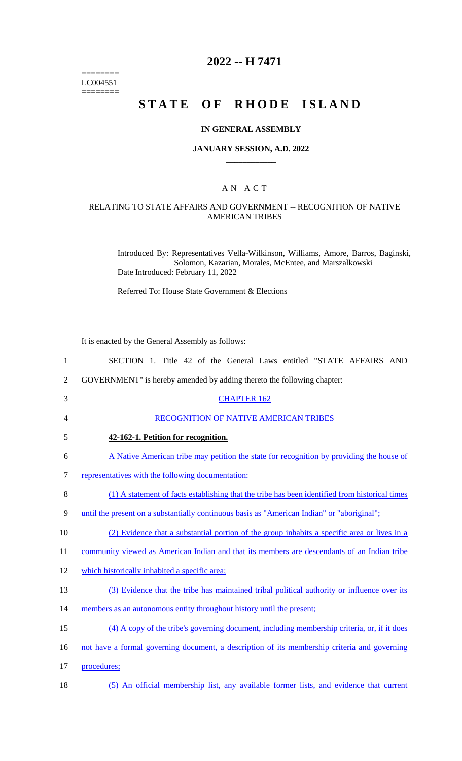======== LC004551  $=$ 

# **2022 -- H 7471**

# **STATE OF RHODE ISLAND**

#### **IN GENERAL ASSEMBLY**

#### **JANUARY SESSION, A.D. 2022 \_\_\_\_\_\_\_\_\_\_\_\_**

#### A N A C T

### RELATING TO STATE AFFAIRS AND GOVERNMENT -- RECOGNITION OF NATIVE AMERICAN TRIBES

Introduced By: Representatives Vella-Wilkinson, Williams, Amore, Barros, Baginski, Solomon, Kazarian, Morales, McEntee, and Marszalkowski Date Introduced: February 11, 2022

Referred To: House State Government & Elections

It is enacted by the General Assembly as follows:

| $\mathbf{1}$   | SECTION 1. Title 42 of the General Laws entitled "STATE AFFAIRS AND                            |
|----------------|------------------------------------------------------------------------------------------------|
| $\overline{2}$ | GOVERNMENT" is hereby amended by adding thereto the following chapter:                         |
| 3              | <b>CHAPTER 162</b>                                                                             |
| 4              | RECOGNITION OF NATIVE AMERICAN TRIBES                                                          |
| 5              | 42-162-1. Petition for recognition.                                                            |
| 6              | A Native American tribe may petition the state for recognition by providing the house of       |
| 7              | representatives with the following documentation:                                              |
| $8\,$          | (1) A statement of facts establishing that the tribe has been identified from historical times |
| 9              | until the present on a substantially continuous basis as "American Indian" or "aboriginal";    |
| 10             | (2) Evidence that a substantial portion of the group inhabits a specific area or lives in a    |
| 11             | community viewed as American Indian and that its members are descendants of an Indian tribe    |
| 12             | which historically inhabited a specific area;                                                  |
| 13             | (3) Evidence that the tribe has maintained tribal political authority or influence over its    |
| 14             | members as an autonomous entity throughout history until the present;                          |
| 15             | (4) A copy of the tribe's governing document, including membership criteria, or, if it does    |
| 16             | not have a formal governing document, a description of its membership criteria and governing   |
| 17             | procedures;                                                                                    |
| 18             | (5) An official membership list, any available former lists, and evidence that current         |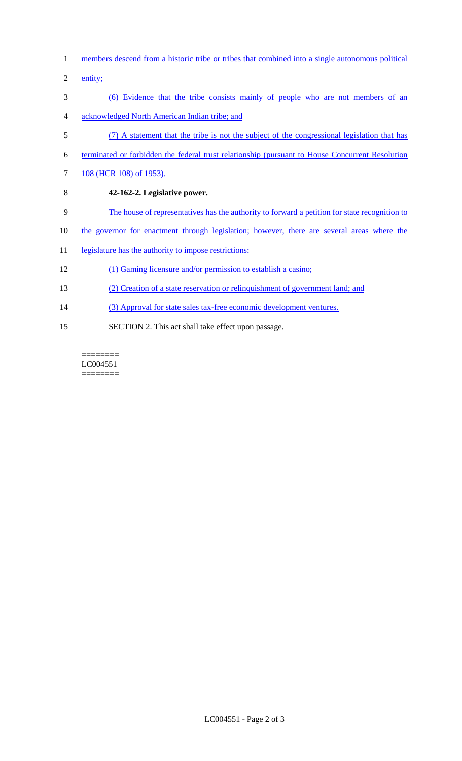- 1 members descend from a historic tribe or tribes that combined into a single autonomous political
- 2 entity;
- 3 (6) Evidence that the tribe consists mainly of people who are not members of an
- 4 acknowledged North American Indian tribe; and
- 5 (7) A statement that the tribe is not the subject of the congressional legislation that has
- 6 terminated or forbidden the federal trust relationship (pursuant to House Concurrent Resolution
- 7 108 (HCR 108) of 1953).
- 8 **42-162-2. Legislative power.**
- 9 The house of representatives has the authority to forward a petition for state recognition to
- 10 the governor for enactment through legislation; however, there are several areas where the
- 11 legislature has the authority to impose restrictions:
- 12 (1) Gaming licensure and/or permission to establish a casino;
- 13 (2) Creation of a state reservation or relinquishment of government land; and
- 14 (3) Approval for state sales tax-free economic development ventures.
- 15 SECTION 2. This act shall take effect upon passage.

======== LC004551  $=$